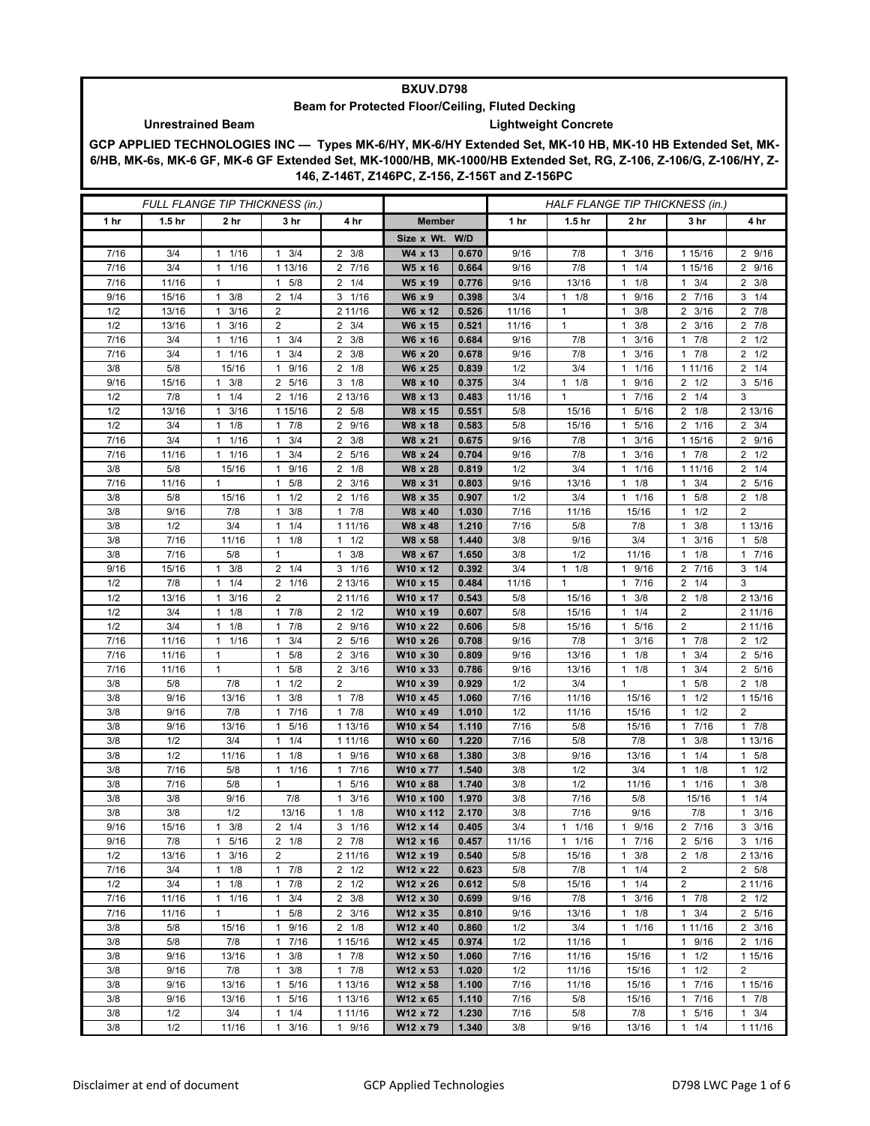## **BXUV.D798**

## **Beam for Protected Floor/Ceiling, Fluted Decking**

## **Unrestrained Beam Lightweight Concrete**

**GCP APPLIED TECHNOLOGIES INC — Types MK-6/HY, MK-6/HY Extended Set, MK-10 HB, MK-10 HB Extended Set, MK-6/HB, MK-6s, MK-6 GF, MK-6 GF Extended Set, MK-1000/HB, MK-1000/HB Extended Set, RG, Z-106, Z-106/G, Z-106/HY, Z-146, Z-146T, Z146PC, Z-156, Z-156T and Z-156PC**

| FULL FLANGE TIP THICKNESS (in.) |                   |                                     |                           |                               |                      |                | HALF FLANGE TIP THICKNESS (in.) |              |                                             |                                |                     |
|---------------------------------|-------------------|-------------------------------------|---------------------------|-------------------------------|----------------------|----------------|---------------------------------|--------------|---------------------------------------------|--------------------------------|---------------------|
| 1 <sub>hr</sub>                 | 1.5 <sub>hr</sub> | 2 hr                                | 3 hr                      | 4 hr                          | <b>Member</b>        |                | 1 hr                            | 1.5 hr       | 2 hr                                        | 3 hr                           | 4 hr                |
|                                 |                   |                                     |                           |                               | Size x Wt. W/D       |                |                                 |              |                                             |                                |                     |
| 7/16                            | 3/4               | 1/16<br>$\mathbf{1}$                | $1 \t3/4$                 | $2 \frac{3}{8}$               | W4 x 13              | 0.670          | 9/16                            | 7/8          | 3/16<br>$\mathbf{1}$                        | 1 15/16                        | 2 9/16              |
| 7/16                            | 3/4               | $1 \t1/16$                          | 1 13/16                   | 2 7/16                        | W5 x 16              | 0.664          | 9/16                            | 7/8          | 1/4<br>$\mathbf{1}$                         | 1 15/16                        | 2 9/16              |
| 7/16                            | 11/16             | 1                                   | $1 \t5/8$                 | 1/4<br>2                      | W5 x 19              | 0.776          | 9/16                            | 13/16        | $\mathbf{1}$<br>1/8                         | $1 \t3/4$                      | $2 \frac{3}{8}$     |
| 9/16                            | 15/16             | $1 \t3/8$                           | $2 \t1/4$                 | $3 \t1/16$                    | W6 x 9               | 0.398          | 3/4                             | $1 \t1/8$    | 9/16<br>$\mathbf{1}$                        | 2 7/16                         | $3 \t1/4$           |
| 1/2                             | 13/16             | 3/16<br>$\mathbf{1}$                | 2                         | 2 11/16                       | W6 x 12              | 0.526          | 11/16                           | $\mathbf{1}$ | 3/8<br>$\mathbf{1}$                         | $2 \frac{3}{16}$               | $2 \t 7/8$          |
| 1/2                             | 13/16             | 3/16<br>$\mathbf{1}$                | 2                         | $\overline{2}$<br>3/4         | W6 x 15              | 0.521          | 11/16                           | $\mathbf{1}$ | 3/8<br>$\mathbf{1}$                         | 2 3/16                         | $2 \t 7/8$          |
| 7/16                            | 3/4               | 1/16<br>$\mathbf{1}$                | $1 \t3/4$                 | $2 \frac{3}{8}$               | W6 x 16              | 0.684          | 9/16                            | 7/8          | 3/16<br>$\mathbf{1}$                        | 7/8<br>1                       | $2 \frac{1}{2}$     |
| 7/16                            | 3/4               | 11/16                               | 3/4<br>$\mathbf{1}$       | 3/8<br>2                      | W6 x 20              | 0.678          | 9/16                            | 7/8          | 3/16<br>$\mathbf{1}$                        | 17/8                           | $2 \frac{1}{2}$     |
| 3/8                             | 5/8               | 15/16                               | 9/16<br>1                 | 2<br>1/8                      | W6 x 25              | 0.839          | 1/2                             | 3/4          | 1/16<br>1                                   | 1 1 1/16                       | $2 \t1/4$           |
| 9/16                            | 15/16             | 3/8<br>$\mathbf{1}$                 | 2 5/16                    | $3 \t1/8$                     | W8 x 10              | 0.375          | 3/4                             | $1 \t1/8$    | 9/16<br>$\mathbf{1}$                        | $2 \frac{1}{2}$                | 3, 5/16             |
| 1/2                             | 7/8               | 1/4<br>$\mathbf{1}$                 | 2 1/16                    | 2 13/16                       | W8 x 13              | 0.483          | 11/16                           | $\mathbf{1}$ | 7/16<br>$\mathbf{1}$                        | 1/4<br>2                       | 3                   |
| 1/2                             | 13/16             | $1 \t3/16$                          | 1 15/16                   | 2 5/8                         | W8 x 15              | 0.551          | 5/8                             | 15/16        | 5/16<br>-1                                  | $2 \t1/8$                      | 2 13/16             |
| 1/2                             | 3/4               | $1 \t1/8$                           | $1 \t7/8$                 | 2 9/16                        | W8 x 18              | 0.583          | 5/8                             | 15/16        | 5/16<br>$\mathbf{1}$                        | 2 1/16                         | $2 \frac{3}{4}$     |
| 7/16                            | 3/4               | 1/16<br>$\mathbf{1}$                | 3/4<br>$\mathbf{1}$       | 3/8<br>2                      | W8 x 21              | 0.675          | 9/16                            | 7/8          | 3/16<br>$\mathbf{1}$                        | 1 15/16                        | 2 9/16              |
| 7/16                            | 11/16             | 11/16                               | 3/4<br>$\mathbf{1}$       | 2 5/16                        | W8 x 24              | 0.704          | 9/16                            | 7/8          | 3/16<br>$\mathbf{1}$                        | 17/8                           | $2 \frac{1}{2}$     |
| 3/8                             | 5/8               | 15/16                               | 9/16<br>$\mathbf{1}$      | $2 \t1/8$                     | W8 x 28              | 0.819          | 1/2                             | 3/4          | 1/16<br>1                                   | 1 11/16                        | $2 \t1/4$           |
| 7/16                            | 11/16             | $\mathbf{1}$                        | 5/8<br>1                  | 2<br>3/16                     | W8 x 31              | 0.803          | 9/16                            | 13/16        | 1/8<br>$\mathbf{1}$                         | 3/4<br>1                       | 2 5/16              |
| 3/8                             | 5/8               | 15/16                               | $1 \t1/2$                 | 2 1/16                        | W8 x 35              | 0.907          | 1/2                             | 3/4          | 1/16<br>$\mathbf{1}$                        | 5/8<br>1                       | $2 \t1/8$           |
| 3/8                             | 9/16              | 7/8                                 | $1 \t3/8$                 | $1 \t7/8$                     | W8 x 40              | 1.030          | 7/16                            | 11/16        | 15/16                                       | $1 \t1/2$                      | 2                   |
| 3/8                             | 1/2               | 3/4                                 | 1/4<br>1                  | 1 11/16                       | W8 x 48              | 1.210          | 7/16                            | 5/8          | 7/8                                         | 3/8<br>1                       | 1 13/16             |
| 3/8                             | 7/16              | 11/16                               | $1 \t1/8$                 | 1/2<br>$\mathbf{1}$           | W8 x 58              | 1.440          | 3/8                             | 9/16         | 3/4                                         | 3/16<br>$\mathbf{1}$           | 1 5/8               |
| 3/8                             | 7/16              | 5/8                                 | $\mathbf{1}$              | 3/8<br>1                      | W8 x 67              | 1.650          | 3/8                             | 1/2          | 11/16                                       | $1 \t1/8$                      | 17/16               |
| 9/16                            | 15/16             | $1 \t3/8$                           | $2 \t1/4$                 | $3 \t1/16$                    | W10 x 12             | 0.392          | 3/4                             | $1 \t1/8$    | 9/16<br>$\mathbf{1}$                        | 2 7/16                         | $3 \t1/4$           |
| 1/2                             | 7/8               | 1/4<br>$\mathbf{1}$                 | 2 1/16                    | 2 13/16                       | W10 x 15             | 0.484          | 11/16                           | $\mathbf{1}$ | 7/16<br>$\mathbf{1}$                        | 1/4<br>2                       | 3                   |
| 1/2                             | 13/16             | $\mathbf{1}$<br>3/16                | $\overline{2}$            | 2 11/16                       | W10 x 17             | 0.543          | 5/8                             | 15/16        | 3/8<br>$\mathbf{1}$                         | $2 \t1/8$                      | 2 13/16             |
| 1/2                             | 3/4               | 1/8<br>$\mathbf{1}$                 | $1 \t7/8$                 | $2 \frac{1}{2}$               | W <sub>10</sub> x 19 | 0.607          | 5/8                             | 15/16        | 1/4<br>$\mathbf{1}$                         | 2                              | 2 11/16             |
| 1/2                             | 3/4               | 1/8<br>$\mathbf{1}$<br>$\mathbf{1}$ | $1 \t7/8$<br>$\mathbf{1}$ | 9/16<br>2                     | W10 x 22             | 0.606          | 5/8                             | 15/16        | 5/16<br>$\mathbf{1}$                        | $\overline{2}$<br>$\mathbf{1}$ | 2 11/16             |
| 7/16<br>7/16                    | 11/16             | 1/16<br>$\mathbf{1}$                | 3/4<br>1                  | 5/16<br>2<br>$2 \frac{3}{16}$ | W10 x 26<br>W10 x 30 | 0.708<br>0.809 | 9/16                            | 7/8<br>13/16 | 3/16<br>$\mathbf{1}$<br>1/8<br>$\mathbf{1}$ | 7/8<br>3/4<br>1                | $2 \frac{1}{2}$     |
| 7/16                            | 11/16<br>11/16    | $\mathbf{1}$                        | 5/8<br>5/8<br>1           | $\overline{2}$<br>3/16        | W10 x 33             | 0.786          | 9/16<br>9/16                    | 13/16        | 1/8<br>$\mathbf{1}$                         | 3/4<br>$\mathbf{1}$            | 2 5/16<br>2 5/16    |
| 3/8                             | 5/8               | 7/8                                 | 1/2<br>1                  | 2                             | W10 x 39             | 0.929          | 1/2                             | 3/4          | $\mathbf{1}$                                | 5/8<br>1                       | $2 \t1/8$           |
| 3/8                             | 9/16              | 13/16                               | 3/8<br>$\mathbf{1}$       | 7/8<br>$\mathbf{1}$           | W10 x 45             | 1.060          | 7/16                            | 11/16        | 15/16                                       | 1/2<br>1                       | 1 15/16             |
| 3/8                             | 9/16              | 7/8                                 | 7/16<br>$\mathbf{1}$      | 7/8<br>1                      | W10 x 49             | 1.010          | 1/2                             | 11/16        | 15/16                                       | 1/2<br>$\mathbf{1}$            | $\overline{2}$      |
| 3/8                             | 9/16              | 13/16                               | 5/16<br>$\mathbf{1}$      | 1 13/16                       | W10 x 54             | 1.110          | 7/16                            | 5/8          | 15/16                                       | 7/16<br>1                      | $1 \t7/8$           |
| 3/8                             | 1/2               | 3/4                                 | 1/4<br>1                  | 1 11/16                       | W10 x 60             | 1.220          | 7/16                            | 5/8          | 7/8                                         | 3/8<br>1                       | 1 13/16             |
| 3/8                             | 1/2               | 11/16                               | 1/8<br>1                  | 9/16<br>1                     | W10 x 68             | 1.380          | 3/8                             | 9/16         | 13/16                                       | 1/4<br>1                       | $1 \t5/8$           |
| 3/8                             | 7/16              | 5/8                                 | 11/16                     | 7/16<br>1                     | W10 x 77             | 1.540          | 3/8                             | 1/2          | 3/4                                         | 1/8<br>1                       | $1 \t1/2$           |
| 3/8                             | 7/16              | 5/8                                 | 1                         | 5/16<br>1                     | W10 x 88             | 1.740          | 3/8                             | 1/2          | 11/16                                       | 1 1/16                         | $1 \t3/8$           |
| 3/8                             | 3/8               | 9/16                                | 7/8                       | 3/16<br>1                     | W10 x 100            | 1.970          | 3/8                             | 7/16         | 5/8                                         | 15/16                          | 1/4<br>$\mathbf{1}$ |
| 3/8                             | 3/8               | 1/2                                 | 13/16                     | 1/8<br>1                      | W10 x 112            | 2.170          | 3/8                             | 7/16         | 9/16                                        | 7/8                            | 3/16<br>1.          |
| 9/16                            | 15/16             | 3/8<br>$\mathbf{1}$                 | $2 \t1/4$                 | 3<br>1/16                     | W12 x 14             | 0.405          | 3/4                             | $1 \t1/16$   | 9/16<br>1                                   | 2 7/16                         | 3<br>3/16           |
| 9/16                            | 7/8               | $1 \t5/16$                          | $2 \t1/8$                 | $2 \t 7/8$                    | W12 x 16             | 0.457          | 11/16                           | $1 \t1/16$   | 7/16<br>$\mathbf{1}$                        | 2 5/16                         | $3 \t1/16$          |
| 1/2                             | 13/16             | 3/16<br>$\mathbf{1}$                | $\overline{2}$            | 2 11/16                       | W12 x 19             | 0.540          | 5/8                             | 15/16        | 3/8<br>$\mathbf{1}$                         | $2 \t1/8$                      | 2 13/16             |
| 7/16                            | 3/4               | $1 \t1/8$                           | $1 \t7/8$                 | $2 \frac{1}{2}$               | W12 x 22             | 0.623          | 5/8                             | 7/8          | $1 \t1/4$                                   | 2                              | 2 5/8               |
| 1/2                             | 3/4               | 1/8<br>1                            | $1 \t7/8$                 | $2 \frac{1}{2}$               | W12 x 26             | 0.612          | 5/8                             | 15/16        | 1/4<br>$\mathbf{1}$                         | $\overline{2}$                 | 2 11/16             |
| 7/16                            | 11/16             | 11/16                               | $1 \t3/4$                 | $2 \frac{3}{8}$               | W12 x 30             | 0.699          | 9/16                            | 7/8          | $\mathbf{1}$<br>3/16                        | 17/8                           | $2 \frac{1}{2}$     |
| 7/16                            | 11/16             | 1                                   | $1 \t5/8$                 | $2 \frac{3}{16}$              | W12 x 35             | 0.810          | 9/16                            | 13/16        | 1/8<br>$\mathbf{1}$                         | $1 \t3/4$                      | 2 5/16              |
| 3/8                             | 5/8               | 15/16                               | 1 9/16                    | $2 \t1/8$                     | W12 x 40             | 0.860          | 1/2                             | 3/4          | 1 1/16                                      | 1 1 1/16                       | $2 \frac{3}{16}$    |
| 3/8                             | 5/8               | 7/8                                 | 7/16<br>1                 | 1 15/16                       | W12 x 45             | 0.974          | 1/2                             | 11/16        | $\mathbf{1}$                                | 1 9/16                         | 2 1/16              |
| 3/8                             | 9/16              | 13/16                               | 3/8<br>$\mathbf{1}$       | 17/8                          | W12 x 50             | 1.060          | 7/16                            | 11/16        | 15/16                                       | $1 \t1/2$                      | 1 15/16             |
| 3/8                             | 9/16              | 7/8                                 | 3/8<br>$\mathbf{1}$       | $1 \t7/8$                     | W12 x 53             | 1.020          | 1/2                             | 11/16        | 15/16                                       | $1 \t1/2$                      | $\overline{2}$      |
| 3/8                             | 9/16              | 13/16                               | 5/16<br>$\mathbf{1}$      | 1 13/16                       | W12 x 58             | 1.100          | 7/16                            | 11/16        | 15/16                                       | 17/16                          | 1 15/16             |
| 3/8                             | 9/16              | 13/16                               | $1 \t5/16$                | 1 13/16                       | W12 x 65             | 1.110          | 7/16                            | 5/8          | 15/16                                       | 17/16                          | 17/8                |
| 3/8                             | 1/2               | 3/4                                 | $1 \t1/4$                 | 1 11/16                       | W12 x 72             | 1.230          | 7/16                            | 5/8          | 7/8                                         | 5/16<br>$\mathbf{1}$           | $1 \t3/4$           |
| 3/8                             | 1/2               | 11/16                               | $1 \t3/16$                | 1 9/16                        | W12 x 79             | 1.340          | 3/8                             | 9/16         | 13/16                                       | $1 \t1/4$                      | 1 11/16             |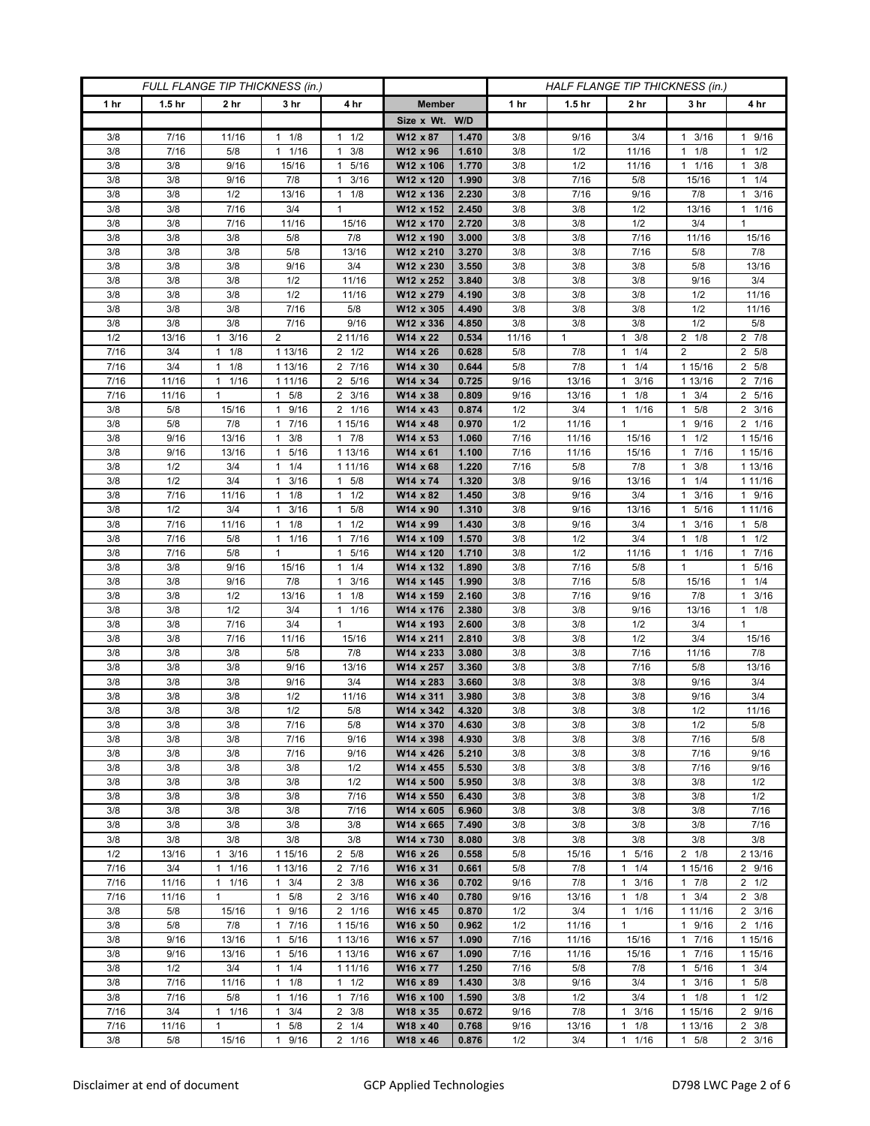| FULL FLANGE TIP THICKNESS (in.) |                   |                 |                      |                                              |                        | HALF FLANGE TIP THICKNESS (in.) |            |                   |                                     |                         |                     |  |
|---------------------------------|-------------------|-----------------|----------------------|----------------------------------------------|------------------------|---------------------------------|------------|-------------------|-------------------------------------|-------------------------|---------------------|--|
| 1 hr                            | 1.5 <sub>hr</sub> | 2 <sub>hr</sub> | 3 <sub>hr</sub>      | 4 hr                                         | <b>Member</b>          |                                 | 1 hr       | 1.5 <sub>hr</sub> | 2 <sub>hr</sub>                     | 3 hr                    | 4 hr                |  |
|                                 |                   |                 |                      |                                              | Size x Wt. W/D         |                                 |            |                   |                                     |                         |                     |  |
| 3/8                             | 7/16              | 11/16           | 1/8<br>$\mathbf{1}$  | 1/2<br>$\mathbf{1}$                          | W12 x 87               | 1.470                           | 3/8        | 9/16              | 3/4                                 | 3/16<br>1               | 1 9/16              |  |
| 3/8                             | 7/16              | 5/8             | 11/16                | 3/8<br>$\mathbf{1}$                          | W12 x 96               | 1.610                           | 3/8        | 1/2               | 11/16                               | 1/8<br>1                | $1 \t1/2$           |  |
| 3/8                             | 3/8               | 9/16            | 15/16                | 5/16<br>$\mathbf{1}$                         | W12 x 106              | 1.770                           | 3/8        | 1/2               | 11/16                               | 1 1/16                  | $1 \t3/8$           |  |
| 3/8                             | 3/8               | 9/16            | 7/8                  | 3/16<br>$\mathbf{1}$                         | W12 x 120              | 1.990                           | 3/8        | 7/16              | 5/8                                 | 15/16                   | $1 \t1/4$           |  |
| 3/8                             | 3/8               | 1/2             | 13/16                | 1/8<br>$\mathbf{1}$                          | W12 x 136              | 2.230                           | 3/8        | 7/16              | 9/16                                | 7/8                     | $1 \t3/16$          |  |
| 3/8                             | 3/8               | 7/16            | 3/4                  | $\mathbf{1}$                                 | W12 x 152              | 2.450                           | 3/8        | 3/8               | 1/2                                 | 13/16                   | $1 \t1/16$          |  |
| 3/8                             | 3/8               | 7/16            | 11/16                | 15/16                                        | W12 x 170              | 2.720                           | 3/8        | 3/8               | 1/2                                 | 3/4                     | 1                   |  |
| 3/8<br>3/8                      | 3/8<br>3/8        | 3/8<br>3/8      | 5/8<br>$5/8$         | 7/8<br>13/16                                 | W12 x 190<br>W12 x 210 | 3.000<br>3.270                  | 3/8<br>3/8 | 3/8               | 7/16<br>7/16                        | 11/16<br>5/8            | 15/16<br>7/8        |  |
| 3/8                             | 3/8               | 3/8             | 9/16                 | 3/4                                          | W12 x 230              | 3.550                           | 3/8        | 3/8<br>3/8        | 3/8                                 | 5/8                     | 13/16               |  |
| 3/8                             | 3/8               | 3/8             | 1/2                  | 11/16                                        | W12 x 252              | 3.840                           | 3/8        | 3/8               | 3/8                                 | 9/16                    | 3/4                 |  |
| 3/8                             | 3/8               | 3/8             | 1/2                  | 11/16                                        | W12 x 279              | 4.190                           | 3/8        | 3/8               | 3/8                                 | 1/2                     | 11/16               |  |
| 3/8                             | 3/8               | 3/8             | 7/16                 | 5/8                                          | W12 x 305              | 4.490                           | 3/8        | 3/8               | 3/8                                 | 1/2                     | 11/16               |  |
| 3/8                             | 3/8               | 3/8             | 7/16                 | 9/16                                         | W12 x 336              | 4.850                           | 3/8        | $3/8$             | 3/8                                 | 1/2                     | 5/8                 |  |
| 1/2                             | 13/16             | 3/16<br>1       | $\overline{2}$       | 2 11/16                                      | W14 x 22               | 0.534                           | 11/16      | $\mathbf{1}$      | 3/8<br>$\mathbf{1}$                 | $2 \t1/8$               | 2 7/8               |  |
| $\frac{1}{7}{16}$               | 3/4               | 1/8<br>1        | 1 13/16              | $2 \frac{1}{2}$                              | W14 x 26               | 0.628                           | 5/8        | 7/8               | 1/4<br>$\mathbf{1}$                 | $\overline{2}$          | 2 5/8               |  |
| 7/16                            | 3/4               | 1/8<br>1        | 1 13/16              | 7/16<br>2                                    | W14 x 30               | 0.644                           | 5/8        | 7/8               | 1/4<br>$\mathbf{1}$                 | 1 15/16                 | 2 5/8               |  |
| 7/16                            | 11/16             | $1 \t1/16$      | 1 11/16              | $\overline{2}$ 5/16                          | W14 x 34               | 0.725                           | 9/16       | 13/16             | 3/16<br>$\mathbf{1}$                | 1 13/16                 | 2 7/16              |  |
| 7/16                            | 11/16             | 1               | $1 \t5/8$            | $2 \frac{3}{16}$                             | W14 x 38               | 0.809                           | 9/16       | 13/16             | 1/8<br>1                            | $1 \t3/4$               | 2 5/16              |  |
| 3/8                             | 5/8               | 15/16           | 9/16<br>$\mathbf{1}$ | 1/16<br>2                                    | W14 x 43               | 0.874                           | 1/2        | 3/4               | 1/16<br>$\mathbf{1}$                | 5/8<br>1                | $2 \frac{3}{16}$    |  |
| 3/8                             | 5/8               | 7/8             | 1 7/16               | $\frac{1}{1}$ 15/16                          | W14 x 48               | 0.970                           | 1/2        | 11/16             | $\mathbf{1}$                        | 9/16<br>1               | 2 1/16              |  |
| 3/8                             | 9/16              | 13/16           | $1 \t3/8$            | $1 \t7/8$                                    | W14 x 53               | 1.060                           | 7/16       | 11/16             | 15/16                               | $1 \t1/2$               | 1 15/16             |  |
| 3/8                             | 9/16              | 13/16           | 5/16<br>1            | 1 13/16                                      | W14 x 61               | 1.100                           | 7/16       | 11/16             | 15/16                               | 7/16                    | 1 15/16             |  |
| 3/8                             | 1/2               | 3/4             | $1 \t1/4$            | 1 11/16                                      | $W14 \times 68$        | 1.220                           | 7/16       | 5/8               | 7/8                                 | 3/8<br>1                | 1 13/16             |  |
| 3/8                             | 1/2               | 3/4             | $1 \t3/16$           | 5/8<br>1                                     | W14 x 74               | 1.320                           | 3/8        | 9/16              | 13/16                               | $1 \t1/4$               | 1 11/16             |  |
| 3/8                             | 7/16              | 11/16           | 1/8<br>1             | 1/2<br>$\mathbf{1}$                          | W14 x 82               | 1.450                           | 3/8        | 9/16              | 3/4                                 | 3/16                    | 1 9/16              |  |
| 3/8                             | 1/2               | 3/4             | 3/16<br>$\mathbf{1}$ | 5/8<br>$\mathbf{1}$                          | W14 x 90               | 1.310                           | 3/8        | 9/16              | 13/16                               | 5/16<br>1               | 1 1 1 / 16          |  |
| 3/8                             | 7/16              | 11/16           | $1 \t1/8$<br>1       | 1/2<br>$\mathbf{1}$                          | W14 x 99               | 1.430                           | 3/8        | 9/16              | 3/4                                 | 3/16<br>1.              | 1 5/8               |  |
| 3/8<br>3/8                      | 7/16<br>7/16      | 5/8<br>5/8      | 1/16<br>$\mathbf{1}$ | 7/16<br>$\mathbf{1}$<br>$\mathbf{1}$<br>5/16 | W14 x 109<br>W14 x 120 | 1.570<br>1.710                  | 3/8<br>3/8 | 1/2<br>1/2        | 3/4<br>11/16                        | 1/8<br>1<br>1/16<br>1   | $1 \t1/2$<br>1 7/16 |  |
| 3/8                             | 3/8               | 9/16            | 15/16                | 1/4<br>$\mathbf{1}$                          | W14 x 132              | 1.890                           | 3/8        | 7/16              | 5/8                                 | 1                       | 1 5/16              |  |
| 3/8                             | 3/8               | 9/16            | 7/8                  | 3/16<br>1                                    | W14 x 145              | 1.990                           | 3/8        | 7/16              | 5/8                                 | 15/16                   | $1 \t1/4$           |  |
| 3/8                             | 3/8               | 1/2             | 13/16                | 1/8<br>1                                     | W14 x 159              | 2.160                           | 3/8        | 7/16              | 9/16                                | 7/8                     | $1 \t3/16$          |  |
| 3/8                             | 3/8               | 1/2             | 3/4                  | 1/16<br>$\mathbf{1}$                         | W14 x 176              | 2.380                           | 3/8        | 3/8               | 9/16                                | 13/16                   | $1 \t1/8$           |  |
| 3/8                             | 3/8               | 7/16            | 3/4                  | $\mathbf{1}$                                 | W14 x 193              | 2.600                           | 3/8        | 3/8               | 1/2                                 | 3/4                     | 1                   |  |
| 3/8                             | 3/8               | 7/16            | 11/16                | 15/16                                        | W14 x 211              | 2.810                           | 3/8        | 3/8               | 1/2                                 | 3/4                     | 15/16               |  |
| 3/8                             | 3/8               | 3/8             | 5/8                  | 7/8                                          | W14 x 233              | 3.080                           | 3/8        | 3/8               | 7/16                                | 11/16                   | 7/8                 |  |
| 3/8                             | 3/8               | 3/8             | 9/16                 | 13/16                                        | W14 x 257              | 3.360                           | 3/8        | 3/8               | 7/16                                | 5/8                     | 13/16               |  |
| 3/8                             | 3/8               | 3/8             | 9/16                 | 3/4                                          | W14 x 283              | 3.660                           | 3/8        | 3/8               | 3/8                                 | 9/16                    | 3/4                 |  |
| 3/8                             | 3/8               | 3/8             | 1/2                  | 11/16                                        | W14 x 311              | 3.980                           | 3/8        | 3/8               | 3/8                                 | 9/16                    | 3/4                 |  |
| 3/8                             | 3/8               | 3/8             | 1/2                  | 5/8                                          | W14 x 342              | 4.320                           | 3/8        | 3/8               | 3/8                                 | 1/2                     | 11/16               |  |
| 3/8                             | 3/8               | 3/8             | 7/16                 | 5/8                                          | W14 x 370              | 4.630                           | 3/8        | 3/8               | 3/8                                 | 1/2                     | 5/8                 |  |
| 3/8                             | 3/8               | 3/8             | 7/16                 | 9/16                                         | W14 x 398              | 4.930                           | 3/8        | 3/8               | 3/8                                 | 7/16                    | 5/8                 |  |
| 3/8                             | 3/8               | 3/8             | 7/16                 | 9/16                                         | W14 x 426              | 5.210                           | 3/8        | 3/8               | 3/8                                 | 7/16                    | 9/16                |  |
| 3/8                             | 3/8<br>3/8        | 3/8             | 3/8                  | 1/2<br>1/2                                   | W14 x 455<br>W14 x 500 | 5.530<br>5.950                  | 3/8        | 3/8               | 3/8                                 | 7/16                    | 9/16                |  |
| 3/8<br>3/8                      | 3/8               | 3/8<br>3/8      | 3/8<br>3/8           | 7/16                                         | W14 x 550              | 6.430                           | 3/8<br>3/8 | 3/8<br>3/8        | 3/8<br>3/8                          | 3/8<br>3/8              | 1/2<br>1/2          |  |
| 3/8                             | 3/8               | 3/8             | 3/8                  | 7/16                                         | W14 x 605              | 6.960                           | 3/8        | 3/8               | 3/8                                 | 3/8                     | 7/16                |  |
| 3/8                             | 3/8               | 3/8             | 3/8                  | 3/8                                          | W14 x 665              | 7.490                           | 3/8        | 3/8               | 3/8                                 | 3/8                     | 7/16                |  |
| 3/8                             | 3/8               | 3/8             | 3/8                  | 3/8                                          | W14 x 730              | 8.080                           | 3/8        | 3/8               | 3/8                                 | 3/8                     | 3/8                 |  |
| 1/2                             | 13/16             | 3/16<br>1       | 1 15/16              | 2 5/8                                        | W16 x 26               | 0.558                           | 5/8        | 15/16             | 5/16<br>$\mathbf{1}$                | $2 \t1/8$               | 2 13/16             |  |
| 7/16                            | 3/4               | 1/16<br>1       | 1 13/16              | 2 7/16                                       | W16 x 31               | 0.661                           | 5/8        | 7/8               | $\mathbf{1}$<br>1/4                 | 1 15/16                 | 2 9/16              |  |
| 7/16                            | 11/16             | 11/16           | $1 \t3/4$            | $2 \frac{3}{8}$                              | W16 x 36               | 0.702                           | 9/16       | 7/8               | 3/16<br>$\mathbf{1}$                | $1 \t7/8$               | $2 \frac{1}{2}$     |  |
| 7/16                            | 11/16             | 1               | 5/8<br>$\mathbf{1}$  | $2 \frac{3}{16}$                             | W16 x 40               | 0.780                           | 9/16       | 13/16             | 1/8<br>$\mathbf{1}$                 | $1 \t3/4$               | $2 \frac{3}{8}$     |  |
| 3/8                             | 5/8               | 15/16           | 9/16<br>$\mathbf{1}$ | 2 1/16                                       | W16 x 45               | 0.870                           | 1/2        | 3/4               | 1/16<br>$\mathbf{1}$                | 1 1 1 / 16              | $2 \frac{3}{16}$    |  |
| 3/8                             | 5/8               | 7/8             | 1 7/16               | 1 15/16                                      | W16 x 50               | 0.962                           | 1/2        | 11/16             | $\mathbf{1}$                        | 1 9/16                  | 2 1/16              |  |
| 3/8                             | 9/16              | 13/16           | 5/16<br>1            | 1 13/16                                      | W16 x 57               | 1.090                           | 7/16       | 11/16             | 15/16                               | $1 \t7/16$              | 1 15/16             |  |
| 3/8                             | 9/16              | 13/16           | 5/16<br>$\mathbf{1}$ | 1 13/16                                      | W16 x 67               | 1.090                           | 7/16       | 11/16             | 15/16                               | 7/16<br>$\mathbf{1}$    | 1 15/16             |  |
| 3/8                             | 1/2               | 3/4             | $1 \t1/4$            | 1 11/16                                      | W16 x 77               | 1.250                           | 7/16       | 5/8               | 7/8                                 | 5/16<br>$\mathbf{1}$    | $1 \t3/4$           |  |
| 3/8                             | 7/16              | 11/16           | $1 \t1/8$            | 1/2<br>$\mathbf{1}$                          | W16 x 89               | 1.430                           | 3/8        | 9/16              | 3/4                                 | 3/16<br>1               | 1 5/8               |  |
| 3/8                             | 7/16              | 5/8             | $\mathbf{1}$<br>1/16 | 7/16<br>$\mathbf{1}$                         | W16 x 100              | 1.590                           | 3/8        | 1/2               | 3/4                                 | $1 \t1/8$               | $1 \t1/2$           |  |
| 7/16                            | 3/4               | $1 \t1/16$      | 3/4<br>1             | $\overline{2}$<br>3/8                        | W18 x 35               | 0.672                           | 9/16       | 7/8               | $\mathbf{1}$<br>3/16                | 1 15/16                 | 2 9/16              |  |
| 7/16                            | 11/16             | 1               | 5/8<br>1             | $2 \t1/4$                                    | W18 x 40               | 0.768                           | 9/16       | 13/16             | 1/8<br>$\mathbf{1}$<br>$\mathbf{1}$ | 1 13/16<br>$\mathbf{1}$ | $2 \frac{3}{8}$     |  |
| 3/8                             | 5/8               | 15/16           | 9/16<br>$\mathbf{1}$ | 2 1/16                                       | W18 x 46               | 0.876                           | 1/2        | 3/4               | $1/16$                              | 5/8                     | $2 \frac{3}{16}$    |  |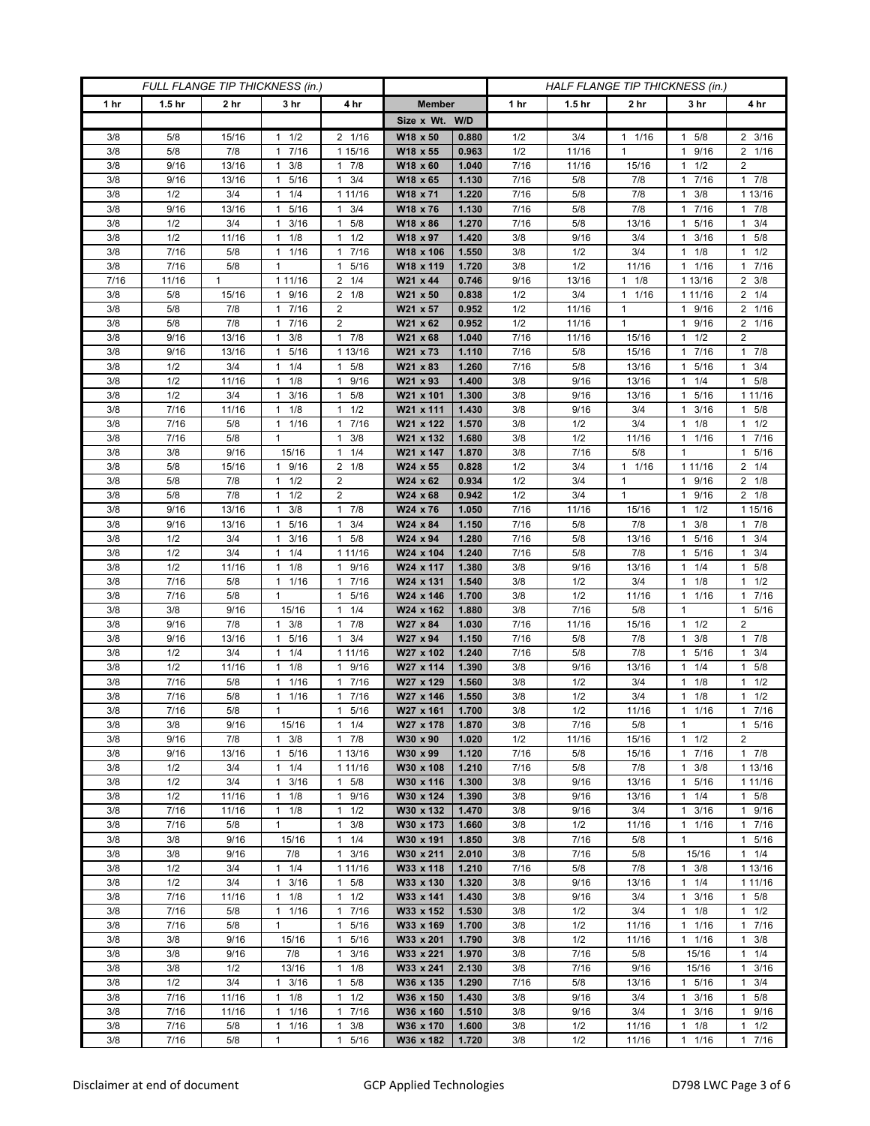| FULL FLANGE TIP THICKNESS (in.) |                   |                 |                       |                                   | HALF FLANGE TIP THICKNESS (in.) |                |            |                   |                      |                      |                                            |
|---------------------------------|-------------------|-----------------|-----------------------|-----------------------------------|---------------------------------|----------------|------------|-------------------|----------------------|----------------------|--------------------------------------------|
| 1 hr                            | 1.5 <sub>hr</sub> | 2 <sub>hr</sub> | 3 hr                  | 4 hr                              | <b>Member</b>                   |                | 1 hr       | 1.5 <sub>hr</sub> | 2 hr                 | 3 hr                 | 4 hr                                       |
|                                 |                   |                 |                       |                                   | Size x Wt. W/D                  |                |            |                   |                      |                      |                                            |
| 3/8                             | 5/8               | 15/16           | $1 \t1/2$             | 2 1/16                            | W18 x 50                        | 0.880          | 1/2        | 3/4               | $1 \t1/16$           | 1 5/8                | $2 \frac{3}{16}$                           |
| 3/8                             | 5/8               | 7/8             | 7/16<br>1             | 1 15/16                           | W18 x 55                        | 0.963          | 1/2        | 11/16             | $\mathbf{1}$         | 9/16<br>1            | 2 1/16                                     |
| 3/8                             | 9/16              | 13/16           | 3/8<br>1              | 7/8<br>$\mathbf{1}$               | W18 x 60                        | 1.040          | 7/16       | 11/16             | 15/16                | 1/2                  | $\overline{2}$                             |
| 3/8                             | 9/16              | 13/16           | 5/16<br>1             | 3/4<br>1                          | W18 x 65                        | 1.130          | 7/16       | 5/8               | 7/8                  | 7/16<br>1            | $1 \t7/8$                                  |
| 3/8                             | 1/2               | 3/4             | 1/4<br>1              | 1 11/16                           | W18 x 71                        | 1.220          | 7/16       | 5/8               | 7/8                  | 3/8<br>1             | 1 13/16                                    |
| 3/8                             | 9/16              | 13/16           | 5/16<br>1             | 3/4<br>$\mathbf{1}$               | W18 x 76                        | 1.130          | 7/16       | 5/8               | 7/8                  | 7/16<br>1            | $1 \t7/8$                                  |
| 3/8                             | 1/2               | 3/4             | 3/16<br>1             | 5/8<br>1                          | W18 x 86                        | 1.270          | 7/16       | 5/8               | 13/16                | 5/16<br>1            | $1 \t3/4$                                  |
| 3/8                             | 1/2               | 11/16           | 1/8<br>$\mathbf{1}$   | 1/2<br>1                          | W18 x 97                        | 1.420          | 3/8        | 9/16              | 3/4                  | 3/16<br>1            | 1 5/8                                      |
| 3/8                             | 7/16              | 5/8             | 1 1/16                | 7/16<br>$\mathbf{1}$              | W18 x 106                       | 1.550          | 3/8        | 1/2               | 3/4                  | 1/8                  | $1 \t1/2$                                  |
| 3/8                             | 7/16              | 5/8             | $\mathbf{1}$          | 5/16<br>$\mathbf{1}$              | W18 x 119                       | 1.720          | 3/8        | 1/2               | 11/16                | 1/16<br>1            | 17/16                                      |
| 7/16                            | 11/16             | $\mathbf{1}$    | 1 11/16               | 1/4<br>2                          | W21 x 44                        | 0.746          | 9/16       | 13/16             | $\mathbf{1}$<br>1/8  | 1 13/16              | $2 \frac{3}{8}$                            |
| 3/8                             | 5/8               | 15/16           | 9/16<br>$\mathbf{1}$  | 1/8<br>2                          | W21 x 50                        | 0.838          | 1/2        | 3/4               | 1/16<br>$\mathbf{1}$ | 1 1 1 / 16           | $2 \t1/4$                                  |
| 3/8                             | 5/8               | 7/8             | 7/16<br>$\mathbf{1}$  | 2                                 | W21 x 57                        | 0.952          | 1/2        | 11/16             | $\mathbf{1}$         | 9/16<br>1            | 2 1/16                                     |
| 3/8                             | 5/8               | 7/8             | 7/16<br>$\mathbf{1}$  | $\overline{2}$                    | W21 x 62                        | 0.952          | 1/2        | 11/16             | $\mathbf{1}$         | 9/16<br>1            | 2 1/16                                     |
| 3/8                             | 9/16              | 13/16           | $1 \t3/8$             | $1 \t7/8$                         | W21 x 68                        | 1.040          | 7/16       | 11/16             | 15/16                | 1/2<br>1             | $\overline{2}$                             |
| 3/8                             | 9/16              | 13/16           | 5/16<br>$\mathbf{1}$  | 1 13/16                           | W21 x 73                        | 1.110          | 7/16       | 5/8               | 15/16                | 7/16<br>1            | 17/8                                       |
| 3/8                             | 1/2               | 3/4             | 1/4<br>1              | 5/8<br>$\mathbf{1}$               | W21 x 83                        | 1.260          | 7/16       | 5/8               | 13/16                | 5/16                 | 3/4<br>$\mathbf{1}$                        |
| 3/8                             | 1/2               | 11/16           | $1 \t1/8$             | 9/16<br>$\mathbf{1}$              | W21 x 93                        | 1.400          | 3/8        | 9/16              | 13/16                | 1/4<br>1             | $1 \t5/8$                                  |
| 3/8                             | 1/2               | 3/4             | $1 \t3/16$            | 5/8<br>$\mathbf{1}$               | W21 x 101                       | 1.300          | 3/8        | 9/16              | 13/16                | 1 5/16               | 1 1 1 / 16                                 |
| 3/8                             | 7/16              | 11/16           | 1/8<br>1              | 1/2<br>1                          | W21 x 111                       | 1.430          | 3/8        | 9/16              | 3/4                  | 3/16                 | $1 \t5/8$                                  |
| 3/8                             | 7/16              | 5/8             | 11/16                 | 7/16<br>$\mathbf{1}$              | W21 x 122                       | 1.570          | 3/8        | 1/2               | 3/4                  | 1/8<br>1             | $1 \t1/2$                                  |
| 3/8                             | 7/16              | 5/8             | $\mathbf{1}$          | 3/8<br>1                          | W21 x 132                       | 1.680          | 3/8        | 1/2               | 11/16                | 1 1/16               | 17/16                                      |
| 3/8                             | 3/8               | 9/16            | 15/16                 | 1/4<br>$\mathbf{1}$               | W21 x 147                       | 1.870          | 3/8        | 7/16              | 5/8                  | $\mathbf{1}$         | 5/16<br>$\mathbf{1}$                       |
| 3/8                             | 5/8               | 15/16           | 1 9/16                | $2 \t1/8$                         | W24 x 55                        | 0.828          | 1/2        | 3/4               | $1 \t1/16$           | 1 11/16              | $2 \t1/4$                                  |
| 3/8                             | 5/8               | 7/8             | $1 \t1/2$             | $\overline{2}$                    | W24 x 62                        | 0.934          | 1/2        | 3/4               | $\mathbf{1}$         | 1 9/16               | $2 \t1/8$                                  |
| 3/8                             | 5/8               | 7/8             | 1/2<br>$\mathbf{1}$   | 2                                 | W24 x 68                        | 0.942          | 1/2        | 3/4               | 1                    | 9/16<br>1            | $2 \t1/8$                                  |
| 3/8                             | 9/16              | 13/16           | 3/8<br>1              | $\mathbf{1}$<br>7/8               | W24 x 76                        | 1.050          | 7/16       | 11/16             | 15/16                | 1/2<br>1             | 1 15/16                                    |
| 3/8                             | 9/16              | 13/16           | 5/16<br>$\mathbf{1}$  | 3/4<br>$\mathbf{1}$               | W24 x 84                        | 1.150          | 7/16       | 5/8               | 7/8                  | 3/8<br>1             | 17/8                                       |
| 3/8                             | 1/2               | 3/4             | 3/16<br>1             | 5/8<br>$\mathbf{1}$               | W24 x 94                        | 1.280          | 7/16       | 5/8               | 13/16                | 5/16<br>1            | $1 \t3/4$                                  |
| 3/8                             | 1/2               | 3/4             | 1/4<br>$\mathbf{1}$   | 1 1 1 / 1 6                       | W24 x 104                       | 1.240          | 7/16       | 5/8               | 7/8                  | 5/16<br>1            | $1 \t3/4$                                  |
| 3/8                             | 1/2               | 11/16           | 1/8<br>1              | 9/16<br>$\mathbf{1}$              | W24 x 117                       | 1.380          | 3/8        | 9/16              | 13/16                | 1/4                  | $1 \t5/8$                                  |
| 3/8                             | 7/16              | 5/8             | 1/16<br>$\mathbf{1}$  | 7/16<br>1                         | W24 x 131                       | 1.540          | 3/8        | 1/2               | 3/4                  | 1/8<br>1             | 1/2<br>1                                   |
| 3/8                             | 7/16              | 5/8             | $\mathbf{1}$          | 5/16<br>1                         | W24 x 146                       | 1.700          | 3/8        | 1/2               | 11/16                | $1 \t1/16$           | 1 7/16                                     |
| 3/8                             | 3/8               | 9/16            | 15/16                 | 1/4<br>1                          | W24 x 162                       | 1.880          | 3/8        | 7/16              | 5/8                  | 1                    | 1 5/16                                     |
| 3/8                             | 9/16              | 7/8             | 3/8<br>$\mathbf{1}$   | 7/8<br>$\mathbf{1}$               | W27 x 84                        | 1.030          | 7/16       | 11/16             | 15/16                | 1/2<br>1             | 2                                          |
| 3/8                             | 9/16              | 13/16           | 5/16<br>1             | 3/4<br>$\mathbf{1}$               | W27 x 94                        | 1.150          | 7/16       | 5/8               | 7/8                  | 3/8<br>1             | 17/8                                       |
| 3/8                             | 1/2               | 3/4             | 1/4<br>1              | 1 11/16                           | W27 x 102                       | 1.240          | 7/16       | 5/8               | 7/8                  | 5/16<br>1<br>1       | $1 \t3/4$                                  |
| 3/8<br>3/8                      | 1/2<br>$7/16$     | 11/16<br>5/8    | 1/8<br>1<br>1/16<br>1 | 9/16<br>1<br>7/16<br>$\mathbf{1}$ | W27 x 114<br>W27 x 129          | 1.390<br>1.560 | 3/8        | 9/16<br>1/2       | 13/16<br>3/4         | 1/4<br>1/8<br>1      | 5/8<br>$\mathbf{1}$<br>1/2<br>$\mathbf{1}$ |
| 3/8                             | 7/16              | 5/8             | 1 1/16                | 7/16<br>1                         | W27 x 146                       | 1.550          | 3/8<br>3/8 | 1/2               | 3/4                  | 1/8<br>1             | $1 \t1/2$                                  |
| 3/8                             | 7/16              | 5/8             | 1                     | 5/16<br>$\mathbf{1}$              | W27 x 161                       | 1.700          | 3/8        | 1/2               | 11/16                | 1/16<br>$\mathbf{1}$ | 17/16                                      |
| 3/8                             | 3/8               | 9/16            | 15/16                 | $1 \t1/4$                         | W27 x 178                       | 1.870          | 3/8        | 7/16              | 5/8                  | $\mathbf{1}$         | 1 5/16                                     |
| 3/8                             | 9/16              | 7/8             | $1 \t3/8$             | $1 \t7/8$                         | W30 x 90                        | 1.020          | 1/2        | 11/16             | 15/16                | $1 \t1/2$            | $\overline{2}$                             |
| 3/8                             | 9/16              | 13/16           | 1 5/16                | 1 13/16                           | W30 x 99                        | 1.120          | 7/16       | 5/8               | 15/16                | 1 7/16               | $1 \t7/8$                                  |
| 3/8                             | 1/2               | 3/4             | 1/4<br>1              | 1 11/16                           | W30 x 108                       | 1.210          | 7/16       | 5/8               | 7/8                  | 3/8<br>1             | 1 13/16                                    |
| 3/8                             | 1/2               | 3/4             | $1 \t3/16$            | 5/8<br>$\mathbf{1}$               | W30 x 116                       | 1.300          | 3/8        | 9/16              | 13/16                | 5/16<br>$\mathbf{1}$ | 1 1 1 / 16                                 |
| 3/8                             | 1/2               | 11/16           | $1 \t1/8$             | 9/16<br>$\mathbf{1}$              | W30 x 124                       | 1.390          | 3/8        | 9/16              | 13/16                | $1 \t1/4$            | $1 \t5/8$                                  |
| 3/8                             | 7/16              | 11/16           | $1 \t1/8$             | 1/2<br>$\mathbf{1}$               | W30 x 132                       | 1.470          | 3/8        | 9/16              | 3/4                  | 3/16<br>1            | 1 9/16                                     |
| 3/8                             | 7/16              | 5/8             | $\mathbf{1}$          | $\mathbf{1}$<br>3/8               | W30 x 173                       | 1.660          | 3/8        | 1/2               | 11/16                | $1 \t1/16$           | 17/16                                      |
| 3/8                             | 3/8               | 9/16            | 15/16                 | 1/4<br>$\mathbf{1}$               | W30 x 191                       | 1.850          | 3/8        | 7/16              | 5/8                  | 1                    | 1 5/16                                     |
| 3/8                             | 3/8               | 9/16            | 7/8                   | 3/16<br>$\mathbf{1}$              | W30 x 211                       | 2.010          | 3/8        | 7/16              | 5/8                  | 15/16                | $1 \t1/4$                                  |
| 3/8                             | 1/2               | 3/4             | $1 \t1/4$             | 1 11/16                           | W33 x 118                       | 1.210          | 7/16       | 5/8               | 7/8                  | $1 \t3/8$            | 1 13/16                                    |
| 3/8                             | 1/2               | 3/4             | 3/16<br>$\mathbf{1}$  | 5/8<br>$\mathbf{1}$               | W33 x 130                       | 1.320          | 3/8        | 9/16              | 13/16                | $1 \t1/4$            | 1 11/16                                    |
| 3/8                             | 7/16              | 11/16           | $1 \t1/8$             | $1 \t1/2$                         | W33 x 141                       | 1.430          | 3/8        | 9/16              | 3/4                  | 3/16<br>$\mathbf{1}$ | $1 \t5/8$                                  |
| 3/8                             | 7/16              | 5/8             | $1 \t1/16$            | 7/16<br>$\mathbf{1}$              | W33 x 152                       | 1.530          | 3/8        | 1/2               | 3/4                  | $1 \t1/8$            | $1 \t1/2$                                  |
| 3/8                             | 7/16              | 5/8             | $\mathbf{1}$          | $\mathbf{1}$<br>5/16              | W33 x 169                       | 1.700          | 3/8        | 1/2               | 11/16                | 1/16<br>1.           | 17/16                                      |
| 3/8                             | 3/8               | 9/16            | 15/16                 | $5/16$<br>1                       | W33 x 201                       | 1.790          | 3/8        | 1/2               | 11/16                | 11/16                | $1 \t3/8$                                  |
| 3/8                             | 3/8               | 9/16            | 7/8                   | 3/16<br>$\mathbf{1}$              | W33 x 221                       | 1.970          | 3/8        | 7/16              | 5/8                  | 15/16                | $1 \t1/4$                                  |
| 3/8                             | 3/8               | 1/2             | 13/16                 | 1/8<br>$\mathbf{1}$               | W33 x 241                       | 2.130          | 3/8        | 7/16              | 9/16                 | 15/16                | $1 \t3/16$                                 |
| 3/8                             | 1/2               | 3/4             | 3/16<br>$\mathbf{1}$  | 5/8<br>$\mathbf{1}$               | W36 x 135                       | 1.290          | 7/16       | 5/8               | 13/16                | 1 5/16               | $1 \t3/4$                                  |
| 3/8                             | 7/16              | 11/16           | $1 \t1/8$             | 1/2<br>$\mathbf{1}$               | W36 x 150                       | 1.430          | 3/8        | 9/16              | 3/4                  | 3/16<br>$\mathbf{1}$ | 1 5/8                                      |
| 3/8                             | 7/16              | 11/16           | 1/16<br>$\mathbf{1}$  | $\mathbf{1}$<br>7/16              | W36 x 160                       | 1.510          | 3/8        | 9/16              | 3/4                  | 3/16<br>1            | 1 9/16                                     |
| 3/8                             | 7/16              | 5/8             | 1/16<br>1             | 3/8<br>1                          | W36 x 170                       | 1.600          | 3/8        | 1/2               | 11/16                | 1/8<br>1             | $1 \t1/2$                                  |
| 3/8                             | $7/16$            | 5/8             | $\mathbf{1}$          | $\mathbf{1}$<br>5/16              | W36 x 182                       | 1.720          | 3/8        | 1/2               | 11/16                | 1/16<br>$\mathbf{1}$ | 17/16                                      |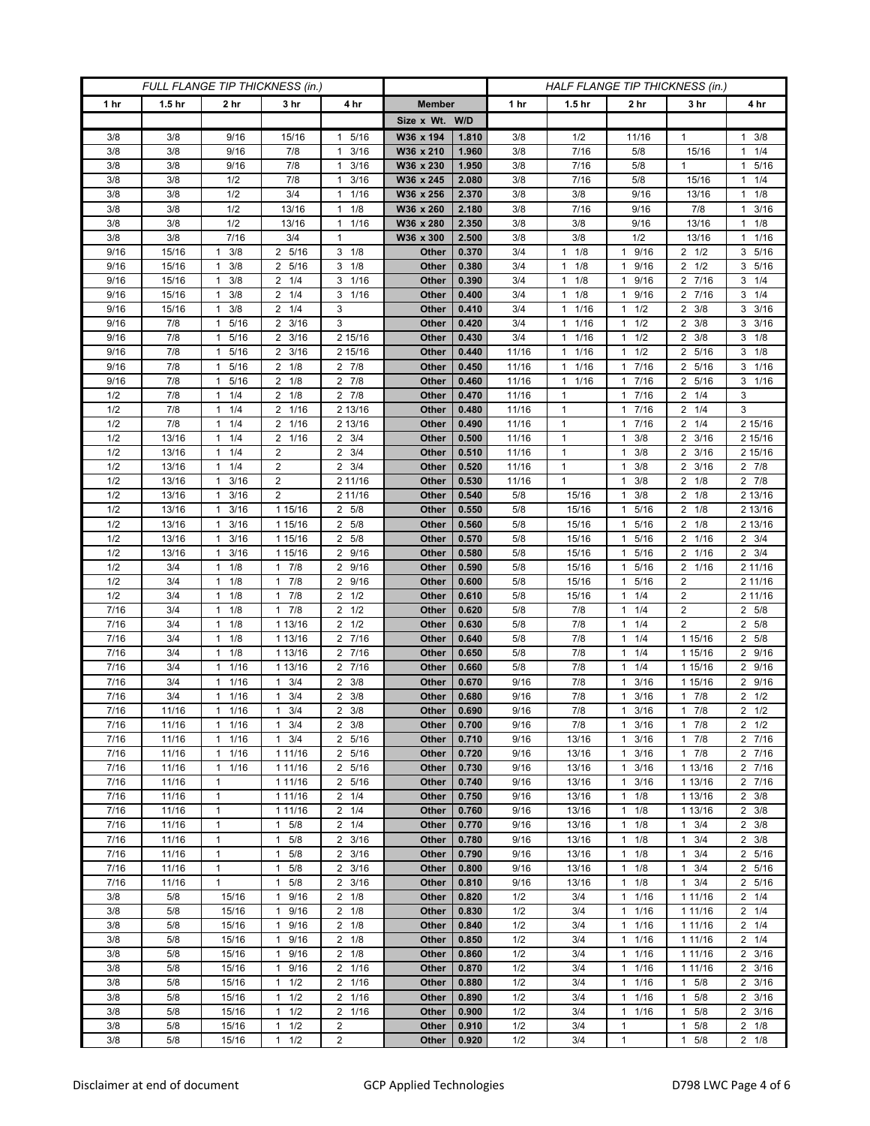| FULL FLANGE TIP THICKNESS (in.) |                   |                              |                                  |                               |                |                | HALF FLANGE TIP THICKNESS (in.) |                              |                                            |                               |                                    |  |
|---------------------------------|-------------------|------------------------------|----------------------------------|-------------------------------|----------------|----------------|---------------------------------|------------------------------|--------------------------------------------|-------------------------------|------------------------------------|--|
| 1 hr                            | 1.5 <sub>hr</sub> | 2 <sub>hr</sub>              | 3 <sub>hr</sub>                  | 4 hr                          | <b>Member</b>  |                | 1 hr                            | 1.5 <sub>hr</sub>            | 2 <sub>hr</sub>                            | 3 <sub>hr</sub>               | 4 hr                               |  |
|                                 |                   |                              |                                  |                               | Size x Wt. W/D |                |                                 |                              |                                            |                               |                                    |  |
| 3/8                             | 3/8               | 9/16                         | 15/16                            | 5/16<br>$\mathbf{1}$          | W36 x 194      | 1.810          | 3/8                             | 1/2                          | 11/16                                      | $\mathbf{1}$                  | 3/8<br>$\mathbf{1}$                |  |
| 3/8                             | 3/8               | 9/16                         | 7/8                              | 3/16<br>$\mathbf{1}$          | W36 x 210      | 1.960          | 3/8                             | 7/16                         | 5/8                                        | 15/16                         | $1 \t1/4$                          |  |
| 3/8                             | 3/8               | 9/16                         | 7/8                              | 3/16<br>1                     | W36 x 230      | 1.950          | 3/8                             | 7/16                         | 5/8                                        | $\mathbf{1}$                  | 1 5/16                             |  |
| 3/8                             | 3/8               | 1/2                          | 7/8                              | 3/16<br>1                     | W36 x 245      | 2.080          | 3/8                             | 7/16                         | 5/8                                        | 15/16                         | $1 \t1/4$                          |  |
| 3/8                             | 3/8               | 1/2                          | 3/4                              | 1/16<br>$\mathbf{1}$          | W36 x 256      | 2.370          | 3/8                             | 3/8                          | 9/16                                       | 13/16                         | $1 \t1/8$                          |  |
| 3/8                             | 3/8               | 1/2                          | 13/16                            | 1/8<br>1                      | W36 x 260      | 2.180          | 3/8                             | 7/16                         | 9/16                                       | 7/8                           | $1 \t3/16$                         |  |
| 3/8                             | 3/8               | 1/2                          | 13/16                            | 1/16<br>$\mathbf{1}$          | W36 x 280      | 2.350          | 3/8                             | 3/8                          | 9/16                                       | 13/16                         | $1 \t1/8$                          |  |
| 3/8                             | 3/8               | 7/16                         | 3/4                              | $\mathbf{1}$                  | W36 x 300      | 2.500          | 3/8                             | 3/8                          | 1/2                                        | 13/16                         | $1 \t1/16$                         |  |
| 9/16                            | 15/16             | 3/8<br>$\mathbf{1}$          | 2 5/16                           | $3 \t1/8$                     | Other          | 0.370          | 3/4                             | $1 \t1/8$                    | 9/16<br>$\mathbf{1}$                       | $2 \frac{1}{2}$               | 3 5/16                             |  |
| 9/16                            | 15/16             | 3/8<br>1                     | 2 5/16                           | 3<br>1/8                      | Other          | 0.380          | 3/4                             | 1/8<br>$\mathbf{1}$          | 9/16<br>$\mathbf{1}$                       | $2 \frac{1}{2}$               | 3 5/16                             |  |
| 9/16                            | 15/16             | 3/8<br>1                     | $2 \t1/4$                        | 1/16<br>3                     | Other          | 0.390          | 3/4                             | 1/8<br>$\mathbf{1}$          | 9/16<br>$\mathbf{1}$                       | 2 7/16                        | $3 \t1/4$                          |  |
| 9/16                            | 15/16             | 3/8<br>1                     | $2 \t1/4$                        | 1/16<br>3                     | Other          | 0.400          | 3/4                             | $1 \t1/8$                    | 9/16<br>$\mathbf{1}$                       | 2 7/16                        | $3 \t1/4$                          |  |
| 9/16                            | 15/16             | 3/8<br>$\mathbf{1}$          | $2 \t1/4$                        | 3                             | Other          | 0.410          | 3/4                             | 1/16<br>1                    | 1/2<br>$\mathbf{1}$                        | $2 \frac{3}{8}$               | $3 \frac{3}{16}$                   |  |
| 9/16                            | 7/8               | 5/16<br>1                    | $2 \frac{3}{16}$                 | 3                             | Other          | 0.420          | 3/4                             | $1 \t1/16$                   | 1/2<br>$\mathbf{1}$                        | 3/8<br>2                      | $3 \frac{3}{16}$                   |  |
| 9/16                            | 7/8               | 5/16<br>1                    | $2 \frac{3}{16}$                 | 2 15/16                       | Other          | 0.430          | 3/4                             | 1/16<br>$\mathbf{1}$         | 1/2<br>$\mathbf{1}$                        | $2 \frac{3}{8}$               | $3 \t1/8$                          |  |
| 9/16                            | 7/8               | 5/16<br>$\mathbf{1}$         | $2 \frac{3}{16}$                 | 2 15/16                       | Other          | 0.440          | 11/16                           | 1/16<br>1                    | 1/2<br>$\mathbf{1}$                        | 2 5/16                        | $3 \t1/8$                          |  |
| 9/16                            | 7/8               | 5/16<br>$\mathbf{1}$         | $2 \t1/8$                        | $2 \t 7/8$                    | Other          | 0.450          | 11/16                           | $1 \t1/16$                   | 7/16<br>1                                  | 2 5/16                        | 3 1/16                             |  |
| 9/16                            | 7/8               | 5/16<br>1                    | $2 \t1/8$                        | $2 \t 7/8$                    | Other          | 0.460          | 11/16                           | 1/16<br>$\mathbf{1}$         | 7/16<br>$\mathbf{1}$                       | 2 5/16                        | $3 \t1/16$                         |  |
| 1/2                             | 7/8               | 1/4<br>1                     | $2 \t1/8$                        | $2 \t 7/8$                    | Other          | 0.470          | 11/16                           | 1                            | 7/16<br>$\mathbf{1}$                       | $2 \t1/4$                     | 3                                  |  |
| 1/2                             | 7/8               | 1/4<br>$\mathbf{1}$          | 2 1/16                           | 2 13/16                       | Other          | 0.480          | 11/16                           | $\mathbf{1}$                 | $7/16$<br>$\mathbf{1}$                     | $2 \t1/4$                     | 3                                  |  |
| 1/2                             | 7/8               | 1/4<br>1                     | 2 1/16                           | 2 13/16                       | Other          | 0.490          | 11/16                           | $\mathbf{1}$                 | 7/16<br>$\mathbf{1}$                       | $2 \t1/4$                     | 2 15/16                            |  |
| 1/2                             | 13/16             | 1/4<br>1                     | 2 1/16                           | $2 \frac{3}{4}$               | Other          | 0.500          | 11/16                           | 1                            | 3/8<br>$\mathbf{1}$                        | $2 \frac{3}{16}$              | 2 15/16                            |  |
| 1/2                             | 13/16             | 1/4<br>1                     | $\overline{2}$<br>$\overline{2}$ | $\overline{2}$<br>3/4         | Other          | 0.510          | 11/16                           | $\mathbf{1}$<br>$\mathbf{1}$ | 3/8<br>$\mathbf{1}$                        | 3/16<br>2                     | 2 15/16                            |  |
| 1/2<br>1/2                      | 13/16             | $1 \t1/4$<br>$1 \t3/16$      | 2                                | $2 \frac{3}{4}$<br>2 11/16    | Other          | 0.520<br>0.530 | 11/16                           | 1                            | 3/8<br>$\mathbf{1}$<br>3/8<br>$\mathbf{1}$ | $2 \frac{3}{16}$<br>$2 \t1/8$ | $2 \t7/8$<br>$2 \t7/8$             |  |
| 1/2                             | 13/16<br>13/16    | 3/16<br>1                    | $\overline{2}$                   | 2 11/16                       | Other<br>Other | 0.540          | 11/16<br>5/8                    | 15/16                        | 3/8<br>$\mathbf{1}$                        | 2<br>1/8                      | 2 13/16                            |  |
| 1/2                             | 13/16             | 3/16<br>$\mathbf{1}$         | 1 15/16                          | 2 5/8                         | Other          | 0.550          | 5/8                             | 15/16                        | 5/16<br>$\mathbf{1}$                       | $2 \t1/8$                     | 2 13/16                            |  |
| 1/2                             | 13/16             | 3/16<br>$\mathbf{1}$         | 1 15/16                          | 5/8<br>2                      | Other          | 0.560          | 5/8                             | 15/16                        | 5/16<br>$\mathbf{1}$                       | $2 \t1/8$                     | 2 13/16                            |  |
| 1/2                             | 13/16             | 3/16<br>$\mathbf{1}$         | 1 15/16                          | 2<br>5/8                      | Other          | 0.570          | 5/8                             | 15/16                        | 5/16<br>$\mathbf{1}$                       | 1/16<br>2                     | $2 \frac{3}{4}$                    |  |
| 1/2                             | 13/16             | 3/16<br>1                    | 1 15/16                          | $\overline{2}$<br>9/16        | Other          | 0.580          | 5/8                             | 15/16                        | 5/16<br>$\mathbf{1}$                       | 2 1/16                        | $2 \frac{3}{4}$                    |  |
| 1/2                             | 3/4               | $1 \t1/8$                    | $1 \t7/8$                        | 2 9/16                        | Other          | 0.590          | 5/8                             | 15/16                        | 5/16<br>1                                  | 2 1/16                        | 2 11/16                            |  |
| 1/2                             | 3/4               | 1/8<br>1                     | 7/8<br>1                         | 9/16<br>2                     | Other          | 0.600          | 5/8                             | 15/16                        | 5/16<br>$\mathbf{1}$                       | 2                             | 2 11/16                            |  |
| 1/2                             | 3/4               | 1/8<br>$\mathbf{1}$          | 17/8                             | 1/2<br>$\overline{2}$         | Other          | 0.610          | 5/8                             | 15/16                        | 1/4<br>$\mathbf{1}$                        | $\overline{2}$                | 2 11/16                            |  |
| 7/16                            | 3/4               | $1 \t1/8$                    | $1 \t7/8$                        | $2 \frac{1}{2}$               | Other          | 0.620          | 5/8                             | 7/8                          | 1/4<br>$\mathbf{1}$                        | $\overline{\mathbf{c}}$       | 2 5/8                              |  |
| 7/16                            | 3/4               | 1/8<br>$\mathbf{1}$          | 1 13/16                          | 1/2<br>2                      | Other          | 0.630          | 5/8                             | 7/8                          | 1/4<br>$\mathbf{1}$                        | $\overline{2}$                | 2 5/8                              |  |
| 7/16                            | 3/4               | 1/8<br>1                     | 1 13/16                          | 7/16<br>2                     | Other          | 0.640          | 5/8                             | 7/8                          | 1/4<br>$\mathbf{1}$                        | 1 15/16                       | 2 5/8                              |  |
| 7/16                            | 3/4               | 1/8<br>$\mathbf{1}$          | 1 13/16                          | 2 7/16                        | Other          | 0.650          | 5/8                             | 7/8                          | 1/4<br>$\mathbf{1}$                        | 1 15/16                       | 2 9/16                             |  |
| 7/16                            | 3/4               | 1/16<br>$\mathbf{1}$         | 1 13/16                          | 2 7/16                        | Other          | 0.660          | 5/8                             | 7/8                          | 1/4<br>$\mathbf{1}$                        | 1 15/16                       | 2 9/16                             |  |
| 7/16                            | 3/4               | 1/16<br>$\mathbf{1}$         | $1 \t3/4$                        | 3/8<br>2                      | Other          | 0.670          | 9/16                            | 7/8                          | 3/16<br>$\mathbf{1}$                       | 1 15/16                       | 2 9/16                             |  |
| 7/16                            | 3/4               | 1/16<br>1                    | 3/4<br>$\mathbf{1}$              | $\overline{2}$<br>3/8         | Other          | 0.680          | 9/16                            | 7/8                          | 3/16<br>$\mathbf{1}$                       | 7/8<br>1.                     | $2 \frac{1}{2}$                    |  |
| 7/16                            | 11/16             | 1/16<br>$\mathbf{1}$         | 3/4<br>$\mathbf{1}$              | $2 \frac{3}{8}$               | Other          | 0.690          | 9/16                            | 7/8                          | 3/16<br>$\mathbf{1}$                       | 7/8<br>$\mathbf{1}$           | $2 \frac{1}{2}$                    |  |
| 7/16                            | 11/16             | $1 \t1/16$                   | $1 \t3/4$                        | $2 \frac{3}{8}$               | Other          | 0.700          | 9/16                            | 7/8                          | 3/16<br>$\mathbf{1}$                       | $1 \t7/8$                     | $2 \frac{1}{2}$                    |  |
| 7/16                            | 11/16             | $1 \t1/16$                   | $1 \t3/4$                        | 2 5/16                        | Other          | 0.710          | 9/16                            | 13/16                        | $\mathbf{1}$<br>3/16                       | 17/8                          | 2 7/16                             |  |
| 7/16                            | 11/16             | 1/16<br>$\mathbf{1}$         | 1 11/16                          | 2 5/16                        | Other          | 0.720          | 9/16                            | 13/16                        | 3/16<br>$\mathbf{1}$                       | $1 \t7/8$                     | 2 7/16                             |  |
| 7/16                            | 11/16             | 11/16                        | 1 11/16                          | 2 5/16                        | Other          | 0.730          | 9/16                            | 13/16                        | 3/16<br>$\mathbf{1}$                       | 1 13/16                       | 2 7/16                             |  |
| 7/16                            | 11/16             | 1                            | 1 11/16                          | 2 5/16                        | Other          | 0.740          | 9/16                            | 13/16                        | $\mathbf{1}$<br>3/16                       | 1 13/16                       | 2 7/16                             |  |
| 7/16                            | 11/16             | 1                            | 1 11/16                          | $2 \t1/4$                     | Other          | 0.750          | 9/16                            | 13/16                        | 1/8<br>1                                   | 1 13/16                       | $2 \frac{3}{8}$                    |  |
| 7/16                            | 11/16             | $\mathbf{1}$<br>$\mathbf{1}$ | 1 11/16                          | 2<br>1/4                      | Other          | 0.760          | 9/16                            | 13/16                        | 1/8<br>$\mathbf{1}$                        | 1 13/16                       | $2 \frac{3}{8}$                    |  |
| 7/16<br>7/16                    | 11/16<br>11/16    | $\mathbf{1}$                 | $1 \t5/8$<br>5/8<br>1            | $2 \t1/4$<br>$2 \frac{3}{16}$ | Other<br>Other | 0.770<br>0.780 | 9/16<br>9/16                    | 13/16<br>13/16               | $\mathbf{1}$<br>1/8<br>1/8<br>$\mathbf{1}$ | $1 \t3/4$<br>$1 \t3/4$        | $2 \frac{3}{8}$<br>$2 \frac{3}{8}$ |  |
| 7/16                            | 11/16             | $\mathbf{1}$                 | 5/8<br>1                         | 2<br>3/16                     | Other          | 0.790          | 9/16                            | 13/16                        | 1/8<br>$\mathbf{1}$                        | 3/4<br>1                      | 2 5/16                             |  |
| 7/16                            | 11/16             | $\mathbf{1}$                 | 5/8<br>$\mathbf{1}$              | $2 \frac{3}{16}$              | Other          | 0.800          | 9/16                            | 13/16                        | 1/8<br>$\mathbf{1}$                        | 3/4<br>$\mathbf{1}$           | 2 5/16                             |  |
| 7/16                            | 11/16             | $\mathbf{1}$                 | $1 \t5/8$                        | $2 \frac{3}{16}$              | Other          | 0.810          | 9/16                            | 13/16                        | 1/8<br>$\mathbf{1}$                        | $1 \t3/4$                     | 2 5/16                             |  |
| 3/8                             | 5/8               | 15/16                        | 9/16<br>1                        | 2<br>1/8                      | Other          | 0.820          | 1/2                             | 3/4                          | $\mathbf{1}$<br>1/16                       | 1 1 1 / 1 6                   | $2 \t1/4$                          |  |
| 3/8                             | 5/8               | 15/16                        | 9/16<br>$\mathbf{1}$             | $2 \t1/8$                     | Other          | 0.830          | 1/2                             | 3/4                          | 1/16<br>$\mathbf{1}$                       | 1 1 1 / 16                    | $2 \t1/4$                          |  |
| 3/8                             | 5/8               | 15/16                        | 1 9/16                           | $2 \t1/8$                     | Other          | 0.840          | 1/2                             | 3/4                          | 1/16<br>$\mathbf{1}$                       | 1 1 1 / 16                    | $2 \t1/4$                          |  |
| 3/8                             | 5/8               | 15/16                        | 9/16<br>1                        | $2 \t1/8$                     | Other          | 0.850          | 1/2                             | 3/4                          | 1/16<br>$\mathbf{1}$                       | 1 11/16                       | $2 \t1/4$                          |  |
| 3/8                             | 5/8               | 15/16                        | 9/16<br>$\mathbf{1}$             | $2 \t1/8$                     | Other          | 0.860          | 1/2                             | 3/4                          | 1/16<br>$\mathbf{1}$                       | 1 1 1 / 16                    | $2 \frac{3}{16}$                   |  |
| 3/8                             | 5/8               | 15/16                        | 1 9/16                           | 2 1/16                        | Other          | 0.870          | 1/2                             | 3/4                          | 1/16<br>$\mathbf{1}$                       | 1 1 1 / 16                    | $2 \frac{3}{16}$                   |  |
| 3/8                             | 5/8               | 15/16                        | $1 \t1/2$                        | 2 1/16                        | Other          | 0.880          | 1/2                             | 3/4                          | 1/16<br>$\mathbf{1}$                       | $1 \t5/8$                     | $2 \frac{3}{16}$                   |  |
| 3/8                             | 5/8               | 15/16                        | 1/2<br>$\mathbf{1}$              | 1/16<br>2                     | Other          | 0.890          | 1/2                             | 3/4                          | 1/16<br>$\mathbf{1}$                       | 5/8<br>$\mathbf{1}$           | $2 \frac{3}{16}$                   |  |
| 3/8                             | 5/8               | 15/16                        | $1 \t1/2$                        | $\overline{2}$<br>1/16        | Other          | 0.900          | 1/2                             | 3/4                          | 1/16<br>$\mathbf{1}$                       | 5/8<br>$\mathbf{1}$           | $2 \frac{3}{16}$                   |  |
| 3/8                             | 5/8               | 15/16                        | $1 \t1/2$                        | $\overline{2}$                | Other          | 0.910          | 1/2                             | 3/4                          | $\mathbf{1}$                               | 5/8<br>1                      | $2 \t1/8$                          |  |
| 3/8                             | 5/8               | 15/16                        | $1 \t1/2$                        | $\overline{\mathbf{c}}$       | Other          | 0.920          | 1/2                             | 3/4                          | $\mathbf{1}$                               | 5/8<br>$\mathbf{1}$           | $2 \t1/8$                          |  |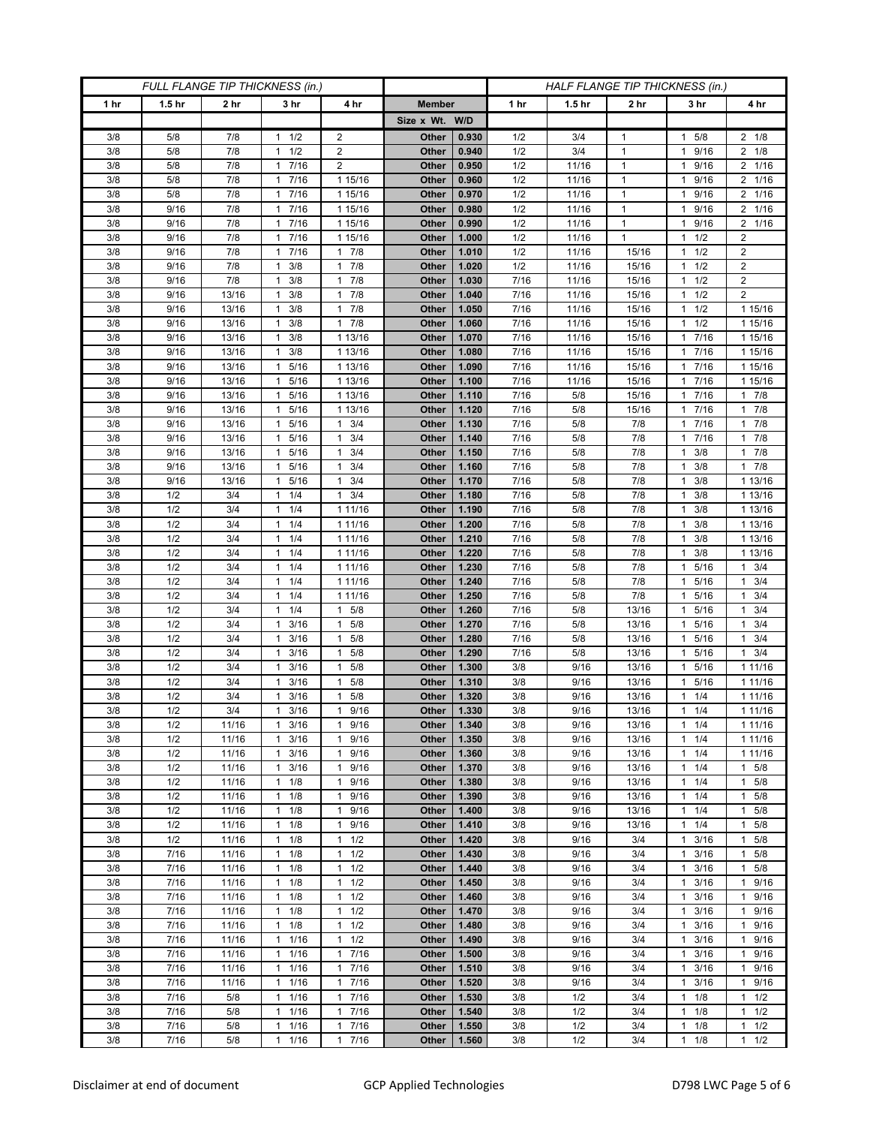| FULL FLANGE TIP THICKNESS (in.) |                   |                 |                                   |                                              |                | HALF FLANGE TIP THICKNESS (in.) |              |                   |                 |                                            |                                           |
|---------------------------------|-------------------|-----------------|-----------------------------------|----------------------------------------------|----------------|---------------------------------|--------------|-------------------|-----------------|--------------------------------------------|-------------------------------------------|
| 1 <sub>hr</sub>                 | 1.5 <sub>hr</sub> | 2 <sub>hr</sub> | 3 <sub>hr</sub>                   | 4 hr                                         | <b>Member</b>  |                                 | 1 hr         | 1.5 <sub>hr</sub> | 2 <sub>hr</sub> | 3 hr                                       | 4 hr                                      |
|                                 |                   |                 |                                   |                                              | Size x Wt. W/D |                                 |              |                   |                 |                                            |                                           |
| 3/8                             | 5/8               | 7/8             | 1/2<br>1                          | $\overline{c}$                               | Other          | 0.930                           | 1/2          | 3/4               | $\mathbf{1}$    | 5/8<br>1                                   | $2 \t1/8$                                 |
| 3/8                             | 5/8               | 7/8             | 1/2<br>$\mathbf{1}$               | $\overline{2}$                               | Other          | 0.940                           | 1/2          | 3/4               | $\mathbf{1}$    | 9/16<br>1                                  | $2 \t1/8$                                 |
| 3/8                             | 5/8               | 7/8             | 1 7/16                            | 2                                            | Other          | 0.950                           | 1/2          | 11/16             | $\mathbf{1}$    | 9/16<br>$\mathbf{1}$                       | 2 1/16                                    |
| 3/8                             | 5/8               | 7/8             | 7/16<br>1                         | 1 15/16                                      | Other          | 0.960                           | 1/2          | 11/16             | $\mathbf{1}$    | 9/16                                       | 2 1/16                                    |
| 3/8                             | 5/8               | $7/8$           | 7/16<br>$\mathbf{1}$              | 1 15/16                                      | Other          | 0.970                           | 1/2          | 11/16             | $\mathbf{1}$    | 9/16<br>1                                  | 2 1/16                                    |
| 3/8                             | 9/16              | 7/8             | 1 7/16                            | 1 15/16                                      | Other          | 0.980                           | 1/2          | 11/16             | $\mathbf{1}$    | 9/16<br>1                                  | 2 1/16                                    |
| 3/8                             | 9/16              | 7/8             | 7/16<br>1                         | 1 15/16                                      | Other          | 0.990                           | 1/2          | 11/16             | $\mathbf{1}$    | 9/16                                       | 2 1/16                                    |
| 3/8                             | 9/16              | 7/8             | 7/16<br>$\mathbf{1}$              | 1 15/16                                      | Other          | 1.000                           | 1/2          | 11/16             | $\mathbf{1}$    | 1/2<br>1                                   | $\overline{c}$                            |
| 3/8                             | 9/16              | 7/8<br>7/8      | 1 7/16                            | 17/8<br>$\mathbf{1}$                         | Other          | 1.010                           | 1/2          | 11/16             | 15/16           | $1 \t1/2$                                  | $\overline{c}$<br>$\overline{\mathbf{c}}$ |
| 3/8<br>3/8                      | 9/16<br>9/16      | 7/8             | 3/8<br>1<br>3/8<br>1              | 7/8<br>7/8<br>$\mathbf{1}$                   | Other<br>Other | 1.020<br>1.030                  | 1/2<br>7/16  | 11/16<br>11/16    | 15/16<br>15/16  | 1/2<br>1<br>1/2<br>1                       | $\overline{2}$                            |
| 3/8                             | 9/16              | 13/16           | 3/8<br>1                          | 7/8<br>$\mathbf{1}$                          | Other          | 1.040                           | 7/16         | 11/16             | 15/16           | 1/2<br>1.                                  | $\overline{2}$                            |
| 3/8                             | 9/16              | 13/16           | 3/8<br>1                          | 7/8<br>$\mathbf{1}$                          | Other          | 1.050                           | 7/16         | 11/16             | 15/16           | 1/2<br>1                                   | 1 15/16                                   |
| 3/8                             | 9/16              | 13/16           | 3/8<br>1                          | 7/8<br>$\mathbf{1}$                          | Other          | 1.060                           | 7/16         | 11/16             | 15/16           | 1/2<br>$\mathbf{1}$                        | 1 15/16                                   |
| 3/8                             | 9/16              | 13/16           | 3/8<br>1                          | 1 13/16                                      | Other          | 1.070                           | 7/16         | 11/16             | 15/16           | 7/16                                       | 1 15/16                                   |
| 3/8                             | 9/16              | 13/16           | 3/8<br>1                          | 1 13/16                                      | Other          | 1.080                           | 7/16         | 11/16             | 15/16           | 7/16<br>1                                  | 1 15/16                                   |
| 3/8                             | 9/16              | 13/16           | 5/16<br>$\mathbf{1}$              | 1 13/16                                      | Other          | 1.090                           | 7/16         | 11/16             | 15/16           | 7/16<br>1                                  | 1 15/16                                   |
| 3/8                             | 9/16              | 13/16           | 5/16<br>1                         | 1 13/16                                      | Other          | 1.100                           | 7/16         | 11/16             | 15/16           | 7/16                                       | 1 15/16                                   |
| 3/8                             | 9/16              | 13/16           | 5/16<br>1                         | 1 13/16                                      | Other          | 1.110                           | 7/16         | 5/8               | 15/16           | 7/16<br>1                                  | 17/8                                      |
| 3/8                             | 9/16              | 13/16           | 5/16<br>$\mathbf{1}$              | 1 13/16                                      | Other          | 1.120                           | 7/16         | 5/8               | 15/16           | 7/16<br>1                                  | 17/8                                      |
| 3/8                             | 9/16              | 13/16           | 5/16<br>1                         | 3/4<br>1                                     | Other          | 1.130                           | 7/16         | 5/8               | 7/8             | 7/16<br>1                                  | 17/8                                      |
| 3/8                             | 9/16              | 13/16           | 5/16<br>1                         | 3/4<br>$\mathbf{1}$                          | Other          | 1.140                           | 7/16         | 5/8               | 7/8             | 7/16<br>1                                  | $1 \t7/8$                                 |
| 3/8<br>3/8                      | 9/16<br>9/16      | 13/16<br>13/16  | 5/16<br>1<br>5/16<br>$\mathbf{1}$ | 3/4<br>$\mathbf{1}$<br>3/4<br>1              | Other<br>Other | 1.150<br>1.160                  | 7/16<br>7/16 | 5/8<br>5/8        | 7/8<br>7/8      | 3/8<br>1<br>3/8<br>1                       | 17/8<br>$1 \t7/8$                         |
| 3/8                             | 9/16              | 13/16           | 5/16<br>$\mathbf{1}$              | 3/4<br>1                                     | Other          | 1.170                           | 7/16         | 5/8               | 7/8             | 3/8<br>1                                   | 1 13/16                                   |
| 3/8                             | 1/2               | 3/4             | 1/4<br>$\mathbf{1}$               | 3/4<br>1                                     | Other          | 1.180                           | 7/16         | 5/8               | 7/8             | 3/8                                        | 1 13/16                                   |
| 3/8                             | 1/2               | 3/4             | 1/4<br>1                          | 1 11/16                                      | Other          | 1.190                           | 7/16         | 5/8               | 7/8             | 3/8<br>1                                   | 1 13/16                                   |
| 3/8                             | 1/2               | 3/4             | $1 \t1/4$                         | 1 1 1 / 16                                   | Other          | 1.200                           | 7/16         | 5/8               | 7/8             | 3/8<br>1                                   | 1 13/16                                   |
| 3/8                             | 1/2               | 3/4             | 1/4<br>1                          | 1 1 1 / 16                                   | Other          | 1.210                           | 7/16         | 5/8               | 7/8             | 3/8                                        | 1 13/16                                   |
| 3/8                             | 1/2               | 3/4             | 1/4<br>$\mathbf{1}$               | 1 1 1 / 16                                   | Other          | 1.220                           | 7/16         | 5/8               | 7/8             | 3/8<br>1                                   | 1 13/16                                   |
| 3/8                             | 1/2               | 3/4             | $1 \t1/4$                         | 1 1 1 / 1 6                                  | Other          | 1.230                           | 7/16         | 5/8               | 7/8             | 5/16<br>1                                  | $1 \t3/4$                                 |
| 3/8                             | 1/2               | 3/4             | 1/4<br>1                          | 1 1 1 / 1 6                                  | Other          | 1.240                           | 7/16         | 5/8               | 7/8             | 5/16                                       | 3/4<br>$\mathbf{1}$                       |
| 3/8                             | 1/2               | 3/4             | 1/4<br>$\mathbf{1}$               | 1 1 1 / 16                                   | Other          | 1.250                           | 7/16         | 5/8               | 7/8             | 5/16<br>1                                  | $1 \t3/4$                                 |
| 3/8                             | 1/2               | 3/4             | $1 \t1/4$                         | 5/8<br>$\mathbf{1}$                          | Other          | 1.260                           | 7/16         | 5/8               | 13/16           | 5/16<br>1                                  | $1 \t3/4$                                 |
| 3/8                             | 1/2               | 3/4             | 3/16<br>1                         | 5/8<br>$\mathbf{1}$                          | Other          | 1.270                           | 7/16         | 5/8               | 13/16           | 5/16<br>1                                  | $1 \t3/4$                                 |
| 3/8<br>3/8                      | 1/2<br>1/2        | 3/4<br>3/4      | 3/16<br>1<br>3/16<br>$\mathbf{1}$ | 5/8<br>1<br>$\mathbf{1}$<br>5/8              | Other<br>Other | 1.280<br>1.290                  | 7/16<br>7/16 | 5/8<br>5/8        | 13/16<br>13/16  | 5/16<br>1<br>5/16<br>1                     | $1 \t3/4$<br>$1 \t3/4$                    |
| 3/8                             | 1/2               | 3/4             | 3/16<br>1                         | 5/8<br>1                                     | Other          | 1.300                           | 3/8          | 9/16              | 13/16           | 5/16<br>1                                  | 1 1 1 / 1 6                               |
| 3/8                             | 1/2               | 3/4             | 3/16<br>$\mathbf{1}$              | 5/8<br>1                                     | Other          | 1.310                           | 3/8          | 9/16              | 13/16           | 5/16<br>1                                  | 1 1 1 / 16                                |
| 3/8                             | 1/2               | 3/4             | 3/16<br>1                         | 1<br>5/8                                     | Other          | 1.320                           | 3/8          | 9/16              | 13/16           | 1/4                                        | 1 11/16                                   |
| 3/8                             | 1/2               | 3/4             | 3/16<br>1                         | 9/16<br>$\mathbf{1}$                         | Other          | 1.330                           | 3/8          | 9/16              | 13/16           | 1/4<br>$\mathbf{1}$                        | 1 11/16                                   |
| 3/8                             | 1/2               | 11/16           | $1 \t3/16$                        | 9/16<br>$\mathbf{1}$                         | Other          | 1.340                           | 3/8          | 9/16              | 13/16           | $1 \t1/4$                                  | 1 11/16                                   |
| 3/8                             | 1/2               | 11/16           | 3/16<br>1                         | 9/16<br>$\mathbf{1}$                         | Other          | 1.350                           | 3/8          | 9/16              | 13/16           | 1/4<br>1                                   | 1 11/16                                   |
| 3/8                             | 1/2               | 11/16           | 3/16<br>$\mathbf{1}$              | 9/16<br>$\mathbf{1}$                         | Other          | 1.360                           | 3/8          | 9/16              | 13/16           | 1/4<br>1                                   | 1 11/16                                   |
| 3/8                             | 1/2               | 11/16           | 3/16<br>$\mathbf{1}$              | 9/16<br>$\mathbf{1}$                         | Other          | 1.370                           | 3/8          | 9/16              | 13/16           | $1 \t1/4$                                  | $1 \t5/8$                                 |
| 3/8                             | 1/2               | 11/16           | 1/8<br>$\mathbf{1}$               | $\mathbf{1}$<br>9/16                         | Other          | 1.380                           | 3/8          | 9/16              | 13/16           | 1/4<br>1                                   | 1 5/8                                     |
| 3/8                             | 1/2               | 11/16           | 1/8<br>$\mathbf{1}$               | 9/16<br>1                                    | Other          | 1.390                           | 3/8          | 9/16              | 13/16           | 1/4<br>1                                   | $1 \t5/8$                                 |
| 3/8<br>3/8                      | 1/2<br>1/2        | 11/16<br>11/16  | $1 \t1/8$<br>$1 \t1/8$            | 9/16<br>$\mathbf{1}$<br>9/16<br>$\mathbf{1}$ | Other<br>Other | 1.400<br>1.410                  | 3/8<br>3/8   | 9/16<br>9/16      | 13/16<br>13/16  | 1/4<br>$\mathbf{1}$<br>1/4<br>$\mathbf{1}$ | 1 5/8<br>$1 \t5/8$                        |
| 3/8                             | 1/2               | 11/16           | $1 \t1/8$                         | 1/2<br>$\mathbf{1}$                          | Other          | 1.420                           | 3/8          | 9/16              | 3/4             | 3/16<br>1                                  | $1 \t5/8$                                 |
| 3/8                             | 7/16              | 11/16           | 1/8<br>$\mathbf{1}$               | 1/2<br>1                                     | Other          | 1.430                           | 3/8          | 9/16              | 3/4             | 3/16<br>1                                  | 1 5/8                                     |
| 3/8                             | 7/16              | 11/16           | 1/8<br>$\mathbf{1}$               | 1/2<br>$\mathbf{1}$                          | Other          | 1.440                           | 3/8          | 9/16              | 3/4             | 3/16<br>1                                  | 1 5/8                                     |
| 3/8                             | 7/16              | 11/16           | $1 \t1/8$                         | 1/2<br>$\mathbf{1}$                          | Other          | 1.450                           | 3/8          | 9/16              | 3/4             | 3/16<br>$\mathbf{1}$                       | 1 9/16                                    |
| 3/8                             | 7/16              | 11/16           | 1/8<br>1                          | 1/2<br>1                                     | Other          | 1.460                           | 3/8          | 9/16              | 3/4             | 3/16                                       | 9/16<br>$\mathbf{1}$                      |
| 3/8                             | 7/16              | 11/16           | 1/8<br>$\mathbf{1}$               | $\mathbf{1}$<br>1/2                          | Other          | 1.470                           | 3/8          | 9/16              | 3/4             | 3/16<br>1                                  | 1 9/16                                    |
| 3/8                             | 7/16              | 11/16           | $1 \t1/8$                         | 1/2<br>$\mathbf{1}$                          | Other          | 1.480                           | 3/8          | 9/16              | 3/4             | $1 \t3/16$                                 | 1 9/16                                    |
| 3/8                             | 7/16              | 11/16           | 1/16<br>$\mathbf{1}$              | 1/2<br>$\mathbf{1}$                          | Other          | 1.490                           | 3/8          | 9/16              | 3/4             | 3/16<br>1                                  | 1 9/16                                    |
| 3/8                             | 7/16              | 11/16           | 11/16                             | 7/16<br>$\mathbf{1}$                         | Other          | 1.500                           | 3/8          | 9/16              | 3/4             | 3/16<br>1                                  | 1 9/16                                    |
| 3/8                             | 7/16              | 11/16           | 11/16                             | 7/16<br>$\mathbf{1}$                         | Other          | 1.510                           | 3/8          | 9/16              | 3/4             | 3/16<br>1                                  | 1 9/16                                    |
| 3/8                             | 7/16              | 11/16           | $1 \t1/16$                        | 7/16<br>$\mathbf{1}$                         | Other          | 1.520                           | 3/8          | 9/16              | 3/4             | 3/16<br>1                                  | 1 9/16                                    |
| 3/8<br>3/8                      | 7/16<br>7/16      | 5/8<br>5/8      | 1/16<br>$\mathbf{1}$<br>11/16     | 7/16<br>$\mathbf{1}$<br>7/16<br>$\mathbf{1}$ | Other<br>Other | 1.530<br>1.540                  | 3/8<br>3/8   | 1/2<br>1/2        | 3/4<br>3/4      | 1/8<br>1<br>$1 \t1/8$                      | $1 \t1/2$<br>$1 \t1/2$                    |
| 3/8                             | 7/16              | 5/8             | 1/16<br>$\mathbf{1}$              | 7/16<br>$\mathbf{1}$                         | Other          | 1.550                           | 3/8          | 1/2               | 3/4             | 1/8<br>1                                   | $1 \t1/2$                                 |
| 3/8                             | $7/16$            | $5/8$           | 1/16<br>1                         | 7/16<br>$\mathbf{1}$                         | Other          | 1.560                           | 3/8          | 1/2               | 3/4             | $1 \t1/8$                                  | $1 \t1/2$                                 |
|                                 |                   |                 |                                   |                                              |                |                                 |              |                   |                 |                                            |                                           |